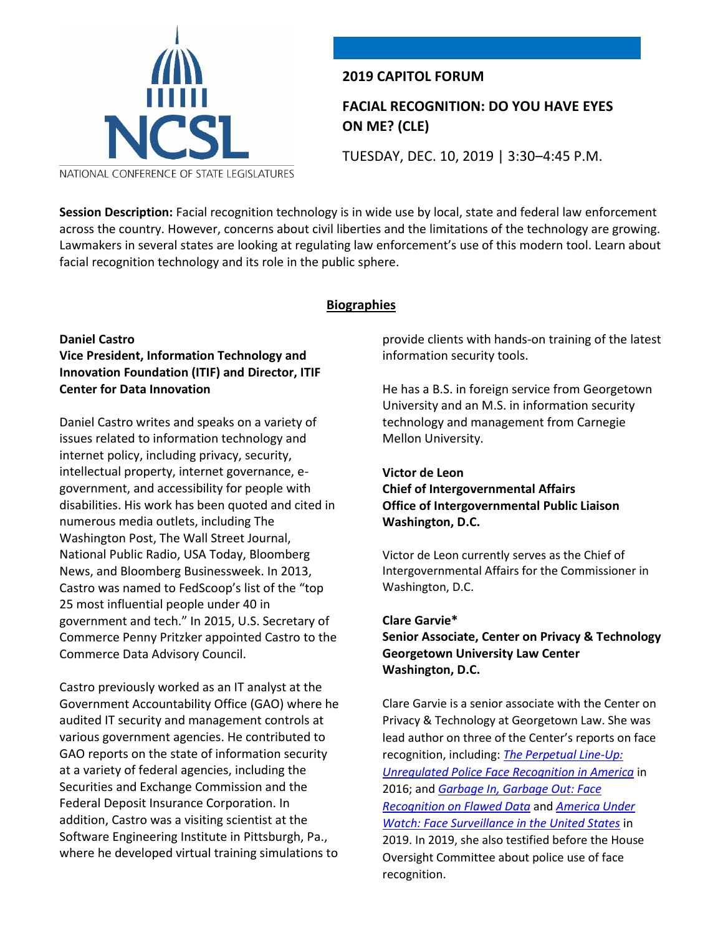

# **2019 CAPITOL FORUM**

# **FACIAL RECOGNITION: DO YOU HAVE EYES ON ME? (CLE)**

TUESDAY, DEC. 10, 2019 | 3:30–4:45 P.M.

NATIONAL CONFERENCE OF STATE LEGISLATURES

**Session Description:** Facial recognition technology is in wide use by local, state and federal law enforcement across the country. However, concerns about civil liberties and the limitations of the technology are growing. Lawmakers in several states are looking at regulating law enforcement's use of this modern tool. Learn about facial recognition technology and its role in the public sphere.

#### **Biographies**

#### **Daniel Castro Vice President, Information Technology and Innovation Foundation (ITIF) and Director, ITIF Center for Data Innovation**

Daniel Castro writes and speaks on a variety of issues related to information technology and internet policy, including privacy, security, intellectual property, internet governance, egovernment, and accessibility for people with disabilities. His work has been quoted and cited in numerous media outlets, including The Washington Post, The Wall Street Journal, National Public Radio, USA Today, Bloomberg News, and Bloomberg Businessweek. In 2013, Castro was named to FedScoop's list of the "top 25 most influential people under 40 in government and tech." In 2015, U.S. Secretary of Commerce Penny Pritzker appointed Castro to the Commerce Data Advisory Council.

Castro previously worked as an IT analyst at the Government Accountability Office (GAO) where he audited IT security and management controls at various government agencies. He contributed to GAO reports on the state of information security at a variety of federal agencies, including the Securities and Exchange Commission and the Federal Deposit Insurance Corporation. In addition, Castro was a visiting scientist at the Software Engineering Institute in Pittsburgh, Pa., where he developed virtual training simulations to

provide clients with hands-on training of the latest information security tools.

He has a B.S. in foreign service from Georgetown University and an M.S. in information security technology and management from Carnegie Mellon University.

#### **Victor de Leon**

# **Chief of Intergovernmental Affairs Office of Intergovernmental Public Liaison Washington, D.C.**

Victor de Leon currently serves as the Chief of Intergovernmental Affairs for the Commissioner in Washington, D.C.

#### **Clare Garvie\***

# **Senior Associate, Center on Privacy & Technology Georgetown University Law Center Washington, D.C.**

Clare Garvie is a senior associate with the Center on Privacy & Technology at Georgetown Law. She was lead author on three of the Center's reports on face recognition, including: *[The Perpetual Line-Up:](https://protect-us.mimecast.com/s/5eSZC737kBuq4GKC8q1h2)  [Unregulated Police Face Recognition in America](https://protect-us.mimecast.com/s/5eSZC737kBuq4GKC8q1h2)* in 2016; and *[Garbage In, Garbage Out: Face](https://protect-us.mimecast.com/s/hWHZC827lDhrDN0c1Dj96)  [Recognition on Flawed Data](https://protect-us.mimecast.com/s/hWHZC827lDhrDN0c1Dj96)* and *[America Under](https://protect-us.mimecast.com/s/PUIYC9r7mEI1L4XS3wOOG)  [Watch: Face Surveillance in the United States](https://protect-us.mimecast.com/s/PUIYC9r7mEI1L4XS3wOOG)* in 2019. In 2019, she also testified before the House Oversight Committee about police use of face recognition.